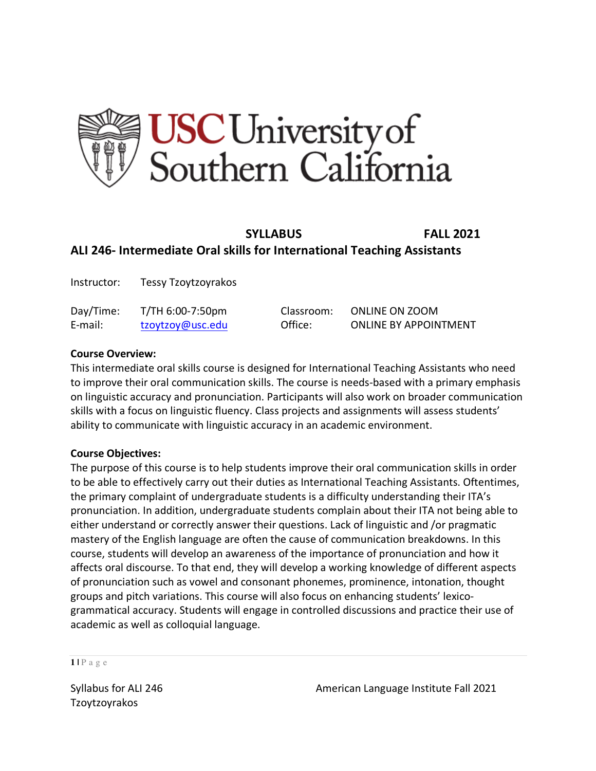

# **SYLLABUS FALL 2021 ALI 246- Intermediate Oral skills for International Teaching Assistants**

| Instructor: | Tessy Tzoytzoyrakos |            |                              |
|-------------|---------------------|------------|------------------------------|
| Day/Time:   | T/TH 6:00-7:50pm    | Classroom: | <b>ONLINE ON ZOOM</b>        |
| E-mail:     | tzoytzoy@usc.edu    | Office:    | <b>ONLINE BY APPOINTMENT</b> |

### **Course Overview:**

This intermediate oral skills course is designed for International Teaching Assistants who need to improve their oral communication skills. The course is needs-based with a primary emphasis on linguistic accuracy and pronunciation. Participants will also work on broader communication skills with a focus on linguistic fluency. Class projects and assignments will assess students' ability to communicate with linguistic accuracy in an academic environment.

### **Course Objectives:**

The purpose of this course is to help students improve their oral communication skills in order to be able to effectively carry out their duties as International Teaching Assistants. Oftentimes, the primary complaint of undergraduate students is a difficulty understanding their ITA's pronunciation. In addition, undergraduate students complain about their ITA not being able to either understand or correctly answer their questions. Lack of linguistic and /or pragmatic mastery of the English language are often the cause of communication breakdowns. In this course, students will develop an awareness of the importance of pronunciation and how it affects oral discourse. To that end, they will develop a working knowledge of different aspects of pronunciation such as vowel and consonant phonemes, prominence, intonation, thought groups and pitch variations. This course will also focus on enhancing students' lexicogrammatical accuracy. Students will engage in controlled discussions and practice their use of academic as well as colloquial language.

#### **1 |** Page

Tzoytzoyrakos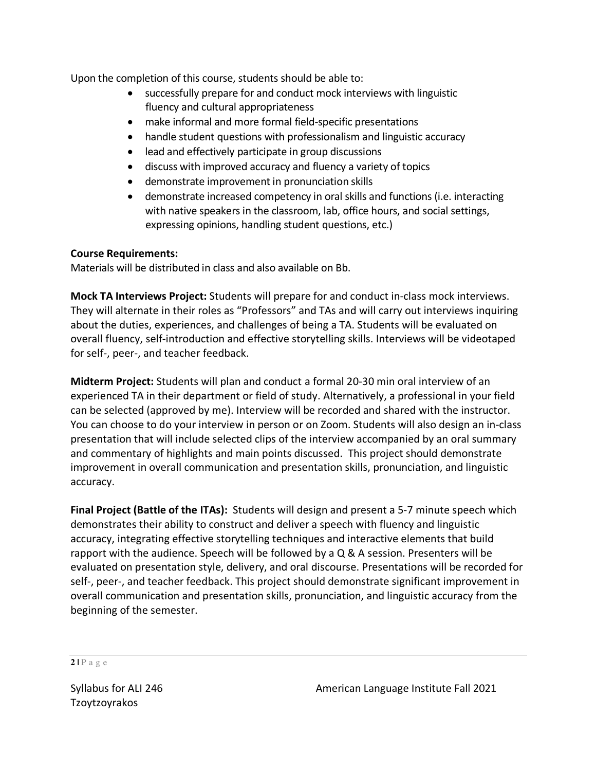Upon the completion of this course, students should be able to:

- successfully prepare for and conduct mock interviews with linguistic fluency and cultural appropriateness
- make informal and more formal field-specific presentations
- handle student questions with professionalism and linguistic accuracy
- lead and effectively participate in group discussions
- discuss with improved accuracy and fluency a variety of topics
- demonstrate improvement in pronunciation skills
- demonstrate increased competency in oral skills and functions (i.e. interacting with native speakers in the classroom, lab, office hours, and social settings, expressing opinions, handling student questions, etc.)

# **Course Requirements:**

Materials will be distributed in class and also available on Bb.

**Mock TA Interviews Project:** Students will prepare for and conduct in-class mock interviews. They will alternate in their roles as "Professors" and TAs and will carry out interviews inquiring about the duties, experiences, and challenges of being a TA. Students will be evaluated on overall fluency, self-introduction and effective storytelling skills. Interviews will be videotaped for self-, peer-, and teacher feedback.

**Midterm Project:** Students will plan and conduct a formal 20-30 min oral interview of an experienced TA in their department or field of study. Alternatively, a professional in your field can be selected (approved by me). Interview will be recorded and shared with the instructor. You can choose to do your interview in person or on Zoom. Students will also design an in-class presentation that will include selected clips of the interview accompanied by an oral summary and commentary of highlights and main points discussed. This project should demonstrate improvement in overall communication and presentation skills, pronunciation, and linguistic accuracy.

**Final Project (Battle of the ITAs):** Students will design and present a 5-7 minute speech which demonstrates their ability to construct and deliver a speech with fluency and linguistic accuracy, integrating effective storytelling techniques and interactive elements that build rapport with the audience. Speech will be followed by a  $Q \& A$  session. Presenters will be evaluated on presentation style, delivery, and oral discourse. Presentations will be recorded for self-, peer-, and teacher feedback. This project should demonstrate significant improvement in overall communication and presentation skills, pronunciation, and linguistic accuracy from the beginning of the semester.

**2 |** Page

Tzoytzoyrakos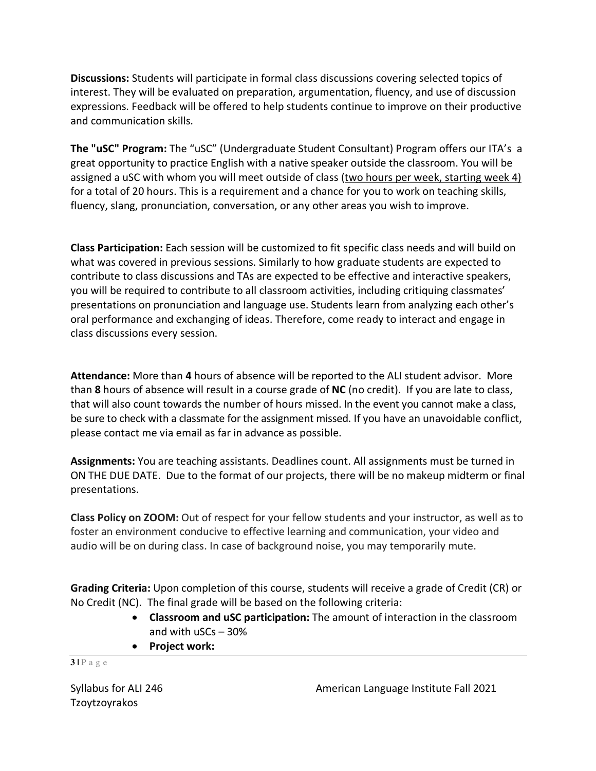**Discussions:** Students will participate in formal class discussions covering selected topics of interest. They will be evaluated on preparation, argumentation, fluency, and use of discussion expressions. Feedback will be offered to help students continue to improve on their productive and communication skills.

**The "uSC" Program:** The "uSC" (Undergraduate Student Consultant) Program offers our ITA's a great opportunity to practice English with a native speaker outside the classroom. You will be assigned a uSC with whom you will meet outside of class (two hours per week, starting week 4) for a total of 20 hours. This is a requirement and a chance for you to work on teaching skills, fluency, slang, pronunciation, conversation, or any other areas you wish to improve.

**Class Participation:** Each session will be customized to fit specific class needs and will build on what was covered in previous sessions. Similarly to how graduate students are expected to contribute to class discussions and TAs are expected to be effective and interactive speakers, you will be required to contribute to all classroom activities, including critiquing classmates' presentations on pronunciation and language use. Students learn from analyzing each other's oral performance and exchanging of ideas. Therefore, come ready to interact and engage in class discussions every session.

**Attendance:** More than **4** hours of absence will be reported to the ALI student advisor. More than **8** hours of absence will result in a course grade of **NC** (no credit). If you are late to class, that will also count towards the number of hours missed. In the event you cannot make a class, be sure to check with a classmate for the assignment missed. If you have an unavoidable conflict, please contact me via email as far in advance as possible.

**Assignments:** You are teaching assistants. Deadlines count. All assignments must be turned in ON THE DUE DATE. Due to the format of our projects, there will be no makeup midterm or final presentations.

**Class Policy on ZOOM:** Out of respect for your fellow students and your instructor, as well as to foster an environment conducive to effective learning and communication, your video and audio will be on during class. In case of background noise, you may temporarily mute.

**Grading Criteria:** Upon completion of this course, students will receive a grade of Credit (CR) or No Credit (NC). The final grade will be based on the following criteria:

- **Classroom and uSC participation:** The amount of interaction in the classroom and with uSCs – 30%
- **Project work:**

#### **3 |** Page

Tzoytzoyrakos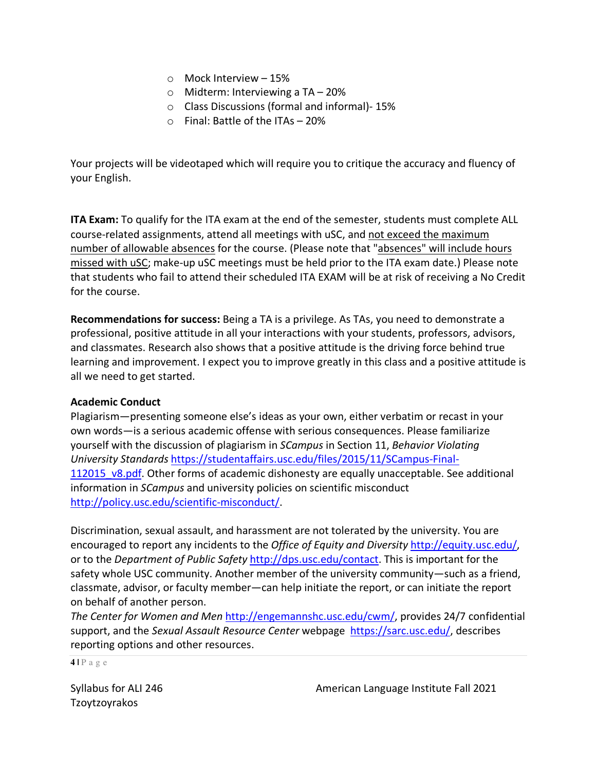- o Mock Interview 15%
- o Midterm: Interviewing a TA 20%
- o Class Discussions (formal and informal)- 15%
- $\circ$  Final: Battle of the ITAs 20%

Your projects will be videotaped which will require you to critique the accuracy and fluency of your English.

**ITA Exam:** To qualify for the ITA exam at the end of the semester, students must complete ALL course-related assignments, attend all meetings with uSC, and not exceed the maximum number of allowable absences for the course. (Please note that "absences" will include hours missed with uSC; make-up uSC meetings must be held prior to the ITA exam date.) Please note that students who fail to attend their scheduled ITA EXAM will be at risk of receiving a No Credit for the course.

**Recommendations for success:** Being a TA is a privilege. As TAs, you need to demonstrate a professional, positive attitude in all your interactions with your students, professors, advisors, and classmates. Research also shows that a positive attitude is the driving force behind true learning and improvement. I expect you to improve greatly in this class and a positive attitude is all we need to get started.

### **Academic Conduct**

Plagiarism—presenting someone else's ideas as your own, either verbatim or recast in your own words—is a serious academic offense with serious consequences. Please familiarize yourself with the discussion of plagiarism in *SCampus* in Section 11, *Behavior Violating University Standards* https://studentaffairs.usc.edu/files/2015/11/SCampus-Final-112015 v8.pdf. Other forms of academic dishonesty are equally unacceptable. See additional information in *SCampus* and university policies on scientific misconduct http://policy.usc.edu/scientific-misconduct/.

Discrimination, sexual assault, and harassment are not tolerated by the university. You are encouraged to report any incidents to the *Office of Equity and Diversity* http://equity.usc.edu/, or to the *Department of Public Safety* http://dps.usc.edu/contact. This is important for the safety whole USC community. Another member of the university community—such as a friend, classmate, advisor, or faculty member—can help initiate the report, or can initiate the report on behalf of another person.

*The Center for Women and Men* http://engemannshc.usc.edu/cwm/, provides 24/7 confidential support, and the *Sexual Assault Resource Center* webpage https://sarc.usc.edu/, describes reporting options and other resources.

**4 |** Page

Tzoytzoyrakos